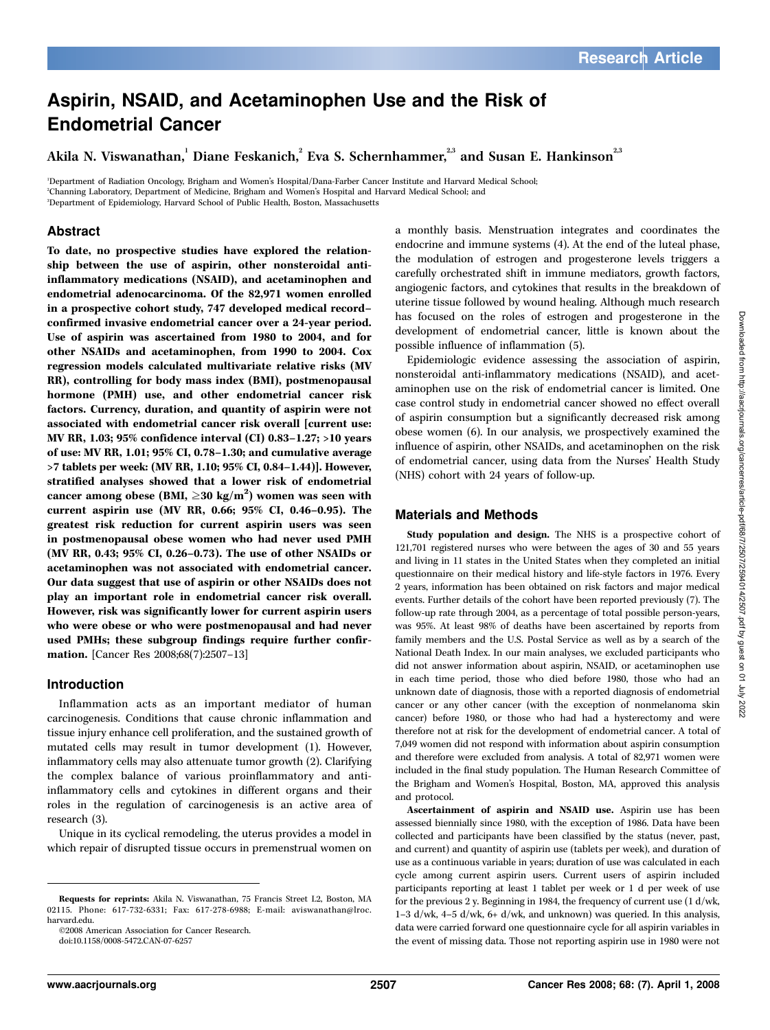# Aspirin, NSAID, and Acetaminophen Use and the Risk of Endometrial Cancer

Akila N. Viswanathan. Diane Feskanich. <sup>2</sup> Eva S. Schernhammer. <sup>2,3</sup> and Susan E. Hankinson<sup>2,3</sup>

1 Department of Radiation Oncology, Brigham and Women's Hospital/Dana-Farber Cancer Institute and Harvard Medical School; 2 Channing Laboratory, Department of Medicine, Brigham and Women's Hospital and Harvard Medical School; and 3 Department of Epidemiology, Harvard School of Public Health, Boston, Massachusetts

## Abstract

To date, no prospective studies have explored the relationship between the use of aspirin, other nonsteroidal antiinflammatory medications (NSAID), and acetaminophen and endometrial adenocarcinoma. Of the 82,971 women enrolled in a prospective cohort study, 747 developed medical record– confirmed invasive endometrial cancer over a 24-year period. Use of aspirin was ascertained from 1980 to 2004, and for other NSAIDs and acetaminophen, from 1990 to 2004.Cox regression models calculated multivariate relative risks (MV RR), controlling for body mass index (BMI), postmenopausal hormone (PMH) use, and other endometrial cancer risk factors. Currency, duration, and quantity of aspirin were not associated with endometrial cancer risk overall [current use: MV RR, 1.03; 95% confidence interval (CI) 0.83–1.27; >10 years of use: MV RR, 1.01; 95% CI, 0.78–1.30; and cumulative average >7 tablets per week: (MV RR, 1.10; 95% CI, 0.84–1.44)]. However, stratified analyses showed that a lower risk of endometrial cancer among obese (BMI,  $\geq$  30 kg/m<sup>2</sup>) women was seen with current aspirin use (MV RR, 0.66; 95% CI, 0.46–0.95). The greatest risk reduction for current aspirin users was seen in postmenopausal obese women who had never used PMH (MV RR, 0.43; 95% CI, 0.26–0.73). The use of other NSAIDs or acetaminophen was not associated with endometrial cancer. Our data suggest that use of aspirin or other NSAIDs does not play an important role in endometrial cancer risk overall. However, risk was significantly lower for current aspirin users who were obese or who were postmenopausal and had never used PMHs; these subgroup findings require further confirmation. [Cancer Res 2008;68(7):2507–13]

### Introduction

Inflammation acts as an important mediator of human carcinogenesis. Conditions that cause chronic inflammation and tissue injury enhance cell proliferation, and the sustained growth of mutated cells may result in tumor development (1). However, inflammatory cells may also attenuate tumor growth (2). Clarifying the complex balance of various proinflammatory and antiinflammatory cells and cytokines in different organs and their roles in the regulation of carcinogenesis is an active area of research (3).

Unique in its cyclical remodeling, the uterus provides a model in which repair of disrupted tissue occurs in premenstrual women on

©2008 American Association for Cancer Research.

doi:10.1158/0008-5472.CAN-07-6257

a monthly basis. Menstruation integrates and coordinates the endocrine and immune systems (4). At the end of the luteal phase, the modulation of estrogen and progesterone levels triggers a carefully orchestrated shift in immune mediators, growth factors, angiogenic factors, and cytokines that results in the breakdown of uterine tissue followed by wound healing. Although much research has focused on the roles of estrogen and progesterone in the development of endometrial cancer, little is known about the possible influence of inflammation (5).

Epidemiologic evidence assessing the association of aspirin, nonsteroidal anti-inflammatory medications (NSAID), and acetaminophen use on the risk of endometrial cancer is limited. One case control study in endometrial cancer showed no effect overall of aspirin consumption but a significantly decreased risk among obese women (6). In our analysis, we prospectively examined the influence of aspirin, other NSAIDs, and acetaminophen on the risk of endometrial cancer, using data from the Nurses' Health Study (NHS) cohort with 24 years of follow-up.

## Materials and Methods

Study population and design. The NHS is a prospective cohort of 121,701 registered nurses who were between the ages of 30 and 55 years and living in 11 states in the United States when they completed an initial questionnaire on their medical history and life-style factors in 1976. Every 2 years, information has been obtained on risk factors and major medical events. Further details of the cohort have been reported previously (7). The follow-up rate through 2004, as a percentage of total possible person-years, was 95%. At least 98% of deaths have been ascertained by reports from family members and the U.S. Postal Service as well as by a search of the National Death Index. In our main analyses, we excluded participants who did not answer information about aspirin, NSAID, or acetaminophen use in each time period, those who died before 1980, those who had an unknown date of diagnosis, those with a reported diagnosis of endometrial cancer or any other cancer (with the exception of nonmelanoma skin cancer) before 1980, or those who had had a hysterectomy and were therefore not at risk for the development of endometrial cancer. A total of 7,049 women did not respond with information about aspirin consumption and therefore were excluded from analysis. A total of 82,971 women were included in the final study population. The Human Research Committee of the Brigham and Women's Hospital, Boston, MA, approved this analysis and protocol.

Ascertainment of aspirin and NSAID use. Aspirin use has been assessed biennially since 1980, with the exception of 1986. Data have been collected and participants have been classified by the status (never, past, and current) and quantity of aspirin use (tablets per week), and duration of use as a continuous variable in years; duration of use was calculated in each cycle among current aspirin users. Current users of aspirin included participants reporting at least 1 tablet per week or 1 d per week of use for the previous 2 y. Beginning in 1984, the frequency of current use (1 d/wk, 1–3 d/wk, 4–5 d/wk, 6+ d/wk, and unknown) was queried. In this analysis, data were carried forward one questionnaire cycle for all aspirin variables in the event of missing data. Those not reporting aspirin use in 1980 were not

Requests for reprints: Akila N. Viswanathan, 75 Francis Street L2, Boston, MA 02115. Phone: 617-732-6331; Fax: 617-278-6988; E-mail: aviswanathan@lroc. harvard.edu.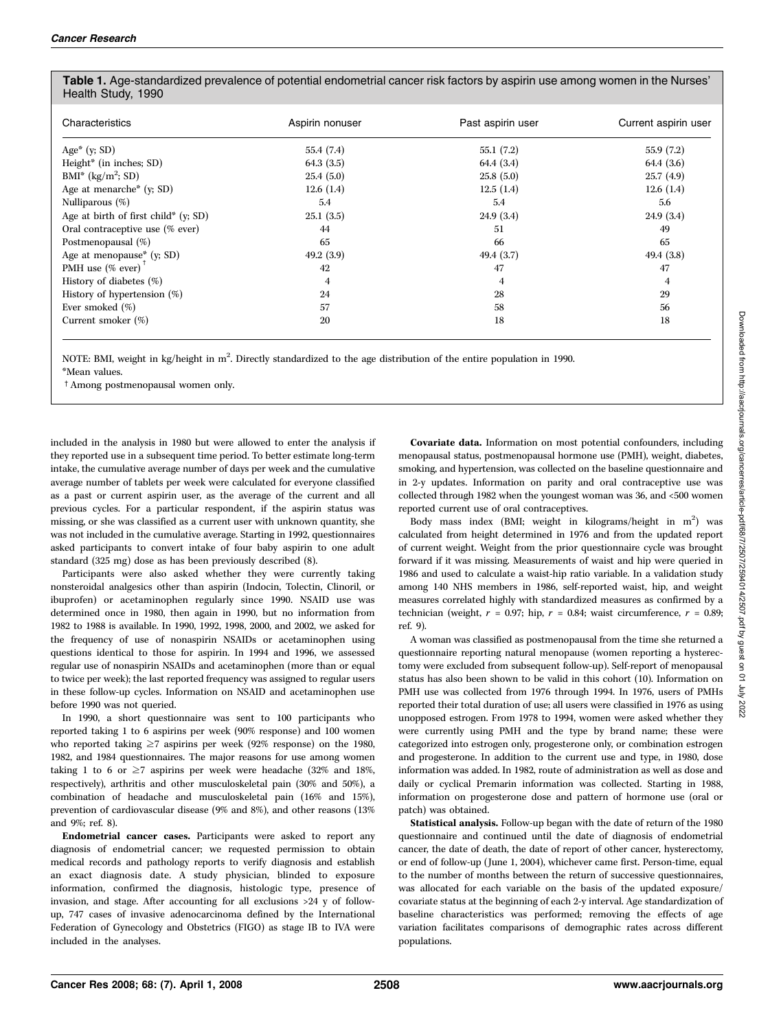| <b>Table 1.</b> Age-standardized prevalence of potential endometrial cancer risk factors by aspirin use among women in the Nurses' |
|------------------------------------------------------------------------------------------------------------------------------------|
| Health Study, 1990                                                                                                                 |

| Characteristics                          | Aspirin nonuser | Past aspirin user | Current aspirin user |
|------------------------------------------|-----------------|-------------------|----------------------|
| Age* $(y; SD)$                           | 55.4 (7.4)      | 55.1(7.2)         | 55.9(7.2)            |
| Height <sup>*</sup> (in inches; SD)      | 64.3(3.5)       | 64.4(3.4)         | 64.4(3.6)            |
| $BMI^*$ (kg/m <sup>2</sup> ; SD)         | 25.4(5.0)       | 25.8(5.0)         | 25.7(4.9)            |
| Age at menarche <sup>*</sup> ( $y$ ; SD) | 12.6(1.4)       | 12.5(1.4)         | 12.6(1.4)            |
| Nulliparous (%)                          | 5.4             | 5.4               | 5.6                  |
| Age at birth of first child* $(y; SD)$   | 25.1(3.5)       | 24.9(3.4)         | 24.9(3.4)            |
| Oral contraceptive use (% ever)          | 44              | 51                | 49                   |
| Postmenopausal (%)                       | 65              | 66                | 65                   |
| Age at menopause* $(y; SD)$              | 49.2 $(3.9)$    | 49.4 $(3.7)$      | 49.4(3.8)            |
| PMH use $(\%$ ever) <sup>†</sup>         | 42              | 47                | 47                   |
| History of diabetes (%)                  | 4               | 4                 | 4                    |
| History of hypertension (%)              | 24              | 28                | 29                   |
| Ever smoked $(\%)$                       | 57              | 58                | 56                   |
| Current smoker (%)                       | 20              | 18                | 18                   |

NOTE: BMI, weight in kg/height in m<sup>2</sup>. Directly standardized to the age distribution of the entire population in 1990. \*Mean values.

<sup>†</sup> Among postmenopausal women only.

included in the analysis in 1980 but were allowed to enter the analysis if they reported use in a subsequent time period. To better estimate long-term intake, the cumulative average number of days per week and the cumulative average number of tablets per week were calculated for everyone classified as a past or current aspirin user, as the average of the current and all previous cycles. For a particular respondent, if the aspirin status was missing, or she was classified as a current user with unknown quantity, she was not included in the cumulative average. Starting in 1992, questionnaires asked participants to convert intake of four baby aspirin to one adult standard (325 mg) dose as has been previously described (8).

Participants were also asked whether they were currently taking nonsteroidal analgesics other than aspirin (Indocin, Tolectin, Clinoril, or ibuprofen) or acetaminophen regularly since 1990. NSAID use was determined once in 1980, then again in 1990, but no information from 1982 to 1988 is available. In 1990, 1992, 1998, 2000, and 2002, we asked for the frequency of use of nonaspirin NSAIDs or acetaminophen using questions identical to those for aspirin. In 1994 and 1996, we assessed regular use of nonaspirin NSAIDs and acetaminophen (more than or equal to twice per week); the last reported frequency was assigned to regular users in these follow-up cycles. Information on NSAID and acetaminophen use before 1990 was not queried.

In 1990, a short questionnaire was sent to 100 participants who reported taking 1 to 6 aspirins per week (90% response) and 100 women who reported taking  $\geq 7$  aspirins per week (92% response) on the 1980, 1982, and 1984 questionnaires. The major reasons for use among women taking 1 to 6 or  $\geq$ 7 aspirins per week were headache (32% and 18%, respectively), arthritis and other musculoskeletal pain (30% and 50%), a combination of headache and musculoskeletal pain (16% and 15%), prevention of cardiovascular disease (9% and 8%), and other reasons (13% and 9%; ref. 8).

Endometrial cancer cases. Participants were asked to report any diagnosis of endometrial cancer; we requested permission to obtain medical records and pathology reports to verify diagnosis and establish an exact diagnosis date. A study physician, blinded to exposure information, confirmed the diagnosis, histologic type, presence of invasion, and stage. After accounting for all exclusions >24 y of followup, 747 cases of invasive adenocarcinoma defined by the International Federation of Gynecology and Obstetrics (FIGO) as stage IB to IVA were included in the analyses.

Covariate data. Information on most potential confounders, including menopausal status, postmenopausal hormone use (PMH), weight, diabetes, smoking, and hypertension, was collected on the baseline questionnaire and in 2-y updates. Information on parity and oral contraceptive use was collected through 1982 when the youngest woman was 36, and <500 women reported current use of oral contraceptives.

Body mass index (BMI; weight in kilograms/height in m<sup>2</sup>) was calculated from height determined in 1976 and from the updated report of current weight. Weight from the prior questionnaire cycle was brought forward if it was missing. Measurements of waist and hip were queried in 1986 and used to calculate a waist-hip ratio variable. In a validation study among 140 NHS members in 1986, self-reported waist, hip, and weight measures correlated highly with standardized measures as confirmed by a technician (weight,  $r = 0.97$ ; hip,  $r = 0.84$ ; waist circumference,  $r = 0.89$ ; ref. 9).

A woman was classified as postmenopausal from the time she returned a questionnaire reporting natural menopause (women reporting a hysterectomy were excluded from subsequent follow-up). Self-report of menopausal status has also been shown to be valid in this cohort (10). Information on PMH use was collected from 1976 through 1994. In 1976, users of PMHs reported their total duration of use; all users were classified in 1976 as using unopposed estrogen. From 1978 to 1994, women were asked whether they were currently using PMH and the type by brand name; these were categorized into estrogen only, progesterone only, or combination estrogen and progesterone. In addition to the current use and type, in 1980, dose information was added. In 1982, route of administration as well as dose and daily or cyclical Premarin information was collected. Starting in 1988, information on progesterone dose and pattern of hormone use (oral or patch) was obtained.

Statistical analysis. Follow-up began with the date of return of the 1980 questionnaire and continued until the date of diagnosis of endometrial cancer, the date of death, the date of report of other cancer, hysterectomy, or end of follow-up ( June 1, 2004), whichever came first. Person-time, equal to the number of months between the return of successive questionnaires, was allocated for each variable on the basis of the updated exposure/ covariate status at the beginning of each 2-y interval. Age standardization of baseline characteristics was performed; removing the effects of age variation facilitates comparisons of demographic rates across different populations.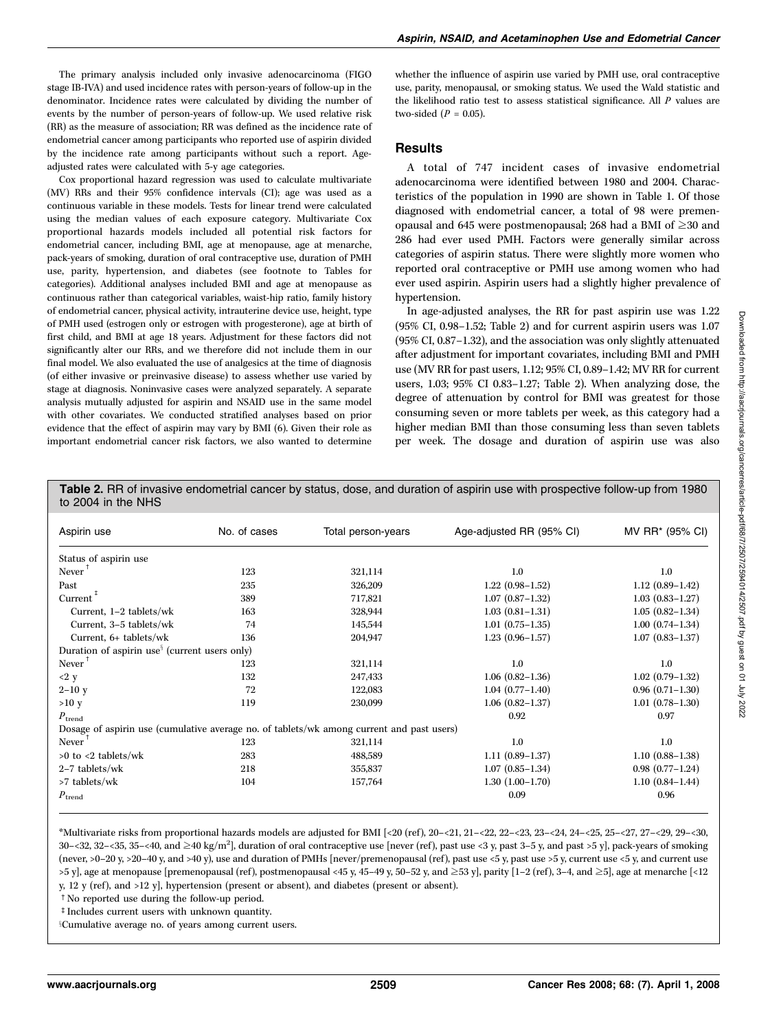The primary analysis included only invasive adenocarcinoma (FIGO stage IB-IVA) and used incidence rates with person-years of follow-up in the denominator. Incidence rates were calculated by dividing the number of events by the number of person-years of follow-up. We used relative risk (RR) as the measure of association; RR was defined as the incidence rate of endometrial cancer among participants who reported use of aspirin divided by the incidence rate among participants without such a report. Ageadjusted rates were calculated with 5-y age categories.

Cox proportional hazard regression was used to calculate multivariate (MV) RRs and their 95% confidence intervals (CI); age was used as a continuous variable in these models. Tests for linear trend were calculated using the median values of each exposure category. Multivariate Cox proportional hazards models included all potential risk factors for endometrial cancer, including BMI, age at menopause, age at menarche, pack-years of smoking, duration of oral contraceptive use, duration of PMH use, parity, hypertension, and diabetes (see footnote to Tables for categories). Additional analyses included BMIand age at menopause as continuous rather than categorical variables, waist-hip ratio, family history of endometrial cancer, physical activity, intrauterine device use, height, type of PMH used (estrogen only or estrogen with progesterone), age at birth of first child, and BMI at age 18 years. Adjustment for these factors did not significantly alter our RRs, and we therefore did not include them in our final model. We also evaluated the use of analgesics at the time of diagnosis (of either invasive or preinvasive disease) to assess whether use varied by stage at diagnosis. Noninvasive cases were analyzed separately. A separate analysis mutually adjusted for aspirin and NSAID use in the same model with other covariates. We conducted stratified analyses based on prior evidence that the effect of aspirin may vary by BMI(6). Given their role as important endometrial cancer risk factors, we also wanted to determine

whether the influence of aspirin use varied by PMH use, oral contraceptive use, parity, menopausal, or smoking status. We used the Wald statistic and the likelihood ratio test to assess statistical significance. All P values are two-sided  $(P = 0.05)$ .

### **Results**

A total of 747 incident cases of invasive endometrial adenocarcinoma were identified between 1980 and 2004. Characteristics of the population in 1990 are shown in Table 1. Of those diagnosed with endometrial cancer, a total of 98 were premenopausal and 645 were postmenopausal; 268 had a BMI of  $\geq$ 30 and 286 had ever used PMH. Factors were generally similar across categories of aspirin status. There were slightly more women who reported oral contraceptive or PMH use among women who had ever used aspirin. Aspirin users had a slightly higher prevalence of hypertension.

In age-adjusted analyses, the RR for past aspirin use was 1.22 (95% CI, 0.98–1.52; Table 2) and for current aspirin users was 1.07 (95% CI, 0.87–1.32), and the association was only slightly attenuated after adjustment for important covariates, including BMI and PMH use (MV RR for past users, 1.12; 95% CI, 0.89–1.42; MV RR for current users, 1.03; 95% CI 0.83-1.27; Table 2). When analyzing dose, the degree of attenuation by control for BMIwas greatest for those consuming seven or more tablets per week, as this category had a higher median BMI than those consuming less than seven tablets per week. The dosage and duration of aspirin use was also

Table 2. RR of invasive endometrial cancer by status, dose, and duration of aspirin use with prospective follow-up from 1980 to 2004 in the NHS

| Aspirin use                                                                               | No. of cases | Total person-years | Age-adjusted RR (95% CI) | MV RR* (95% CI)     |
|-------------------------------------------------------------------------------------------|--------------|--------------------|--------------------------|---------------------|
| Status of aspirin use                                                                     |              |                    |                          |                     |
| Never                                                                                     | 123          | 321,114            | 1.0                      | $1.0\,$             |
| Past                                                                                      | 235          | 326,209            | $1.22(0.98-1.52)$        | $1.12(0.89-1.42)$   |
| Current $\overline{a}$                                                                    | 389          | 717,821            | $1.07(0.87 - 1.32)$      | $1.03(0.83 - 1.27)$ |
| Current, 1-2 tablets/wk                                                                   | 163          | 328,944            | $1.03(0.81 - 1.31)$      | $1.05(0.82 - 1.34)$ |
| Current, 3-5 tablets/wk                                                                   | 74           | 145,544            | $1.01(0.75-1.35)$        | $1.00(0.74 - 1.34)$ |
| Current, 6+ tablets/wk                                                                    | 136          | 204,947            | $1.23(0.96 - 1.57)$      | $1.07(0.83 - 1.37)$ |
| Duration of aspirin use <sup>§</sup> (current users only)                                 |              |                    |                          |                     |
| Never                                                                                     | 123          | 321,114            | 1.0                      | 1.0                 |
| <2 y                                                                                      | 132          | 247,433            | $1.06(0.82 - 1.36)$      | $1.02(0.79-1.32)$   |
| $2 - 10y$                                                                                 | 72           | 122,083            | $1.04(0.77 - 1.40)$      | $0.96(0.71-1.30)$   |
| >10 y                                                                                     | 119          | 230,099            | $1.06(0.82 - 1.37)$      | $1.01(0.78-1.30)$   |
| $P_{\text{trend}}$                                                                        |              |                    | 0.92                     | 0.97                |
| Dosage of aspirin use (cumulative average no. of tablets/wk among current and past users) |              |                    |                          |                     |
| Never                                                                                     | 123          | 321,114            | 1.0                      | 1.0                 |
| $>0$ to $<$ 2 tablets/wk                                                                  | 283          | 488,589            | $1.11(0.89-1.37)$        | $1.10(0.88 - 1.38)$ |
| 2-7 tablets/wk                                                                            | 218          | 355,837            | $1.07(0.85 - 1.34)$      | $0.98(0.77-1.24)$   |
| >7 tablets/wk                                                                             | 104          | 157,764            | $1.30(1.00-1.70)$        | $1.10(0.84 - 1.44)$ |
| $\boldsymbol{P}_{\text{trend}}$                                                           |              |                    | 0.09                     | 0.96                |

\*Multivariate risks from proportional hazards models are adjusted for BMI[<20 (ref), 20–<21, 21–<22, 22–<23, 23–<24, 24–<25, 25–<27, 27–<29, 29–<30,  $30$ –<32,  $32$ –<35,  $35$ –<40, and  $\geq$ 40 kg/m<sup>2</sup>], duration of oral contraceptive use [never (ref), past use <3 y, past 3–5 y, and past >5 y], pack-years of smoking (never, >0–20 y, >20–40 y, and >40 y), use and duration of PMHs [never/premenopausal (ref), past use <5 y, past use >5 y, current use <5 y, and current use  $>5$  y], age at menopause [premenopausal (ref), postmenopausal <45 y, 45–49 y, 50–52 y, and  $\geq$ 53 y], parity [1–2 (ref), 3–4, and  $\geq$ 5], age at menarche [<12

y, 12 y (ref), and >12 y], hypertension (present or absent), and diabetes (present or absent).

<sup>t</sup> No reported use during the follow-up period.

 $^\ddag$  Includes current users with unknown quantity.

<sup>x</sup>Cumulative average no. of years among current users.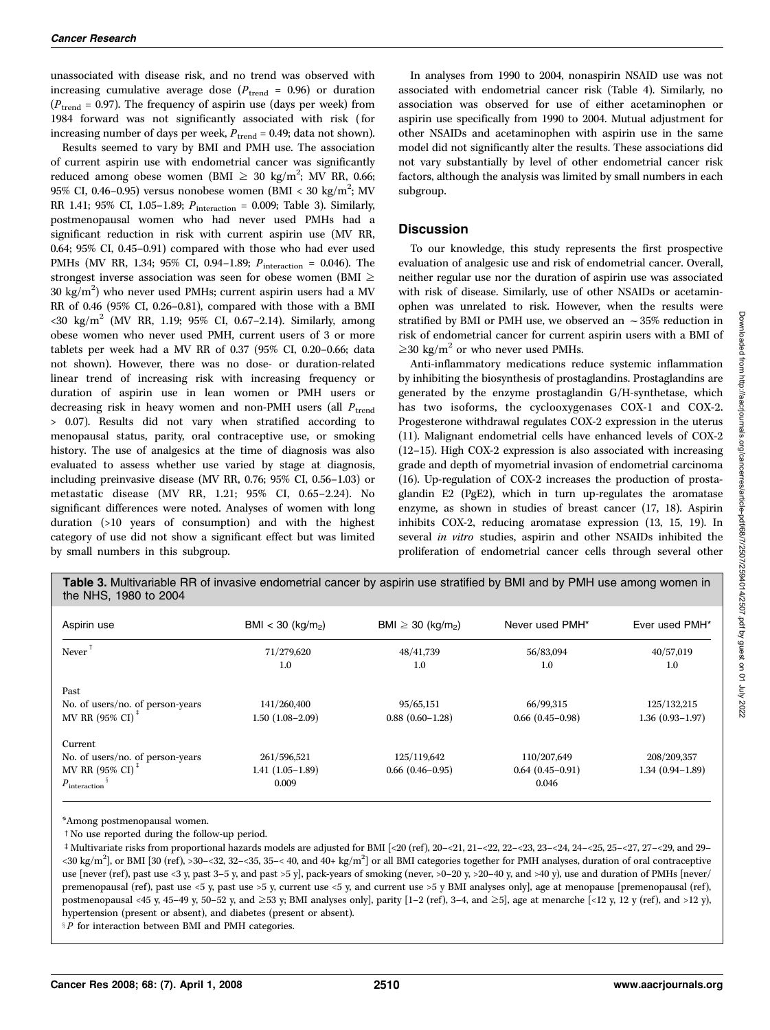unassociated with disease risk, and no trend was observed with increasing cumulative average dose ( $P_{\text{trend}} = 0.96$ ) or duration ( $P_{\text{trend}}$  = 0.97). The frequency of aspirin use (days per week) from 1984 forward was not significantly associated with risk (for increasing number of days per week,  $P_{trend} = 0.49$ ; data not shown).

Results seemed to vary by BMIand PMH use. The association of current aspirin use with endometrial cancer was significantly reduced among obese women (BMI  $\geq 30$  kg/m<sup>2</sup>; MV RR, 0.66; 95% CI, 0.46–0.95) versus nonobese women (BMI < 30 kg/m<sup>2</sup>; MV RR 1.41; 95% CI, 1.05-1.89;  $P_{\text{interaction}} = 0.009$ ; Table 3). Similarly, postmenopausal women who had never used PMHs had a significant reduction in risk with current aspirin use (MV RR, 0.64; 95% CI, 0.45–0.91) compared with those who had ever used PMHs (MV RR, 1.34; 95% CI, 0.94-1.89;  $P_{\text{interaction}} = 0.046$ ). The strongest inverse association was seen for obese women (BMI  $\geq$  $30 \text{ kg/m}^2$ ) who never used PMHs; current aspirin users had a MV RR of 0.46 (95% CI, 0.26–0.81), compared with those with a BMI  $\langle 30 \text{ kg/m}^2 \text{ (MV RR, 1.19; 95\% CI, 0.67-2.14)}$ . Similarly, among obese women who never used PMH, current users of 3 or more tablets per week had a MV RR of 0.37 (95% CI, 0.20–0.66; data not shown). However, there was no dose- or duration-related linear trend of increasing risk with increasing frequency or duration of aspirin use in lean women or PMH users or decreasing risk in heavy women and non-PMH users (all  $P_{trend}$ > 0.07). Results did not vary when stratified according to menopausal status, parity, oral contraceptive use, or smoking history. The use of analgesics at the time of diagnosis was also evaluated to assess whether use varied by stage at diagnosis, including preinvasive disease (MV RR, 0.76; 95% CI, 0.56–1.03) or metastatic disease (MV RR, 1.21; 95% CI, 0.65–2.24). No significant differences were noted. Analyses of women with long duration (>10 years of consumption) and with the highest category of use did not show a significant effect but was limited by small numbers in this subgroup.

In analyses from 1990 to 2004, nonaspirin NSAID use was not associated with endometrial cancer risk (Table 4). Similarly, no association was observed for use of either acetaminophen or aspirin use specifically from 1990 to 2004. Mutual adjustment for other NSAIDs and acetaminophen with aspirin use in the same model did not significantly alter the results. These associations did not vary substantially by level of other endometrial cancer risk factors, although the analysis was limited by small numbers in each subgroup.

## **Discussion**

To our knowledge, this study represents the first prospective evaluation of analgesic use and risk of endometrial cancer. Overall, neither regular use nor the duration of aspirin use was associated with risk of disease. Similarly, use of other NSAIDs or acetaminophen was unrelated to risk. However, when the results were stratified by BMI or PMH use, we observed an  $\sim$  35% reduction in risk of endometrial cancer for current aspirin users with a BMIof  $\geq$ 30 kg/m<sup>2</sup> or who never used PMHs.

Anti-inflammatory medications reduce systemic inflammation by inhibiting the biosynthesis of prostaglandins. Prostaglandins are generated by the enzyme prostaglandin G/H-synthetase, which has two isoforms, the cyclooxygenases COX-1 and COX-2. Progesterone withdrawal regulates COX-2 expression in the uterus (11). Malignant endometrial cells have enhanced levels of COX-2 (12–15). High COX-2 expression is also associated with increasing grade and depth of myometrial invasion of endometrial carcinoma (16). Up-regulation of COX-2 increases the production of prostaglandin E2 (PgE2), which in turn up-regulates the aromatase enzyme, as shown in studies of breast cancer (17, 18). Aspirin inhibits COX-2, reducing aromatase expression (13, 15, 19). In several in vitro studies, aspirin and other NSAIDs inhibited the proliferation of endometrial cancer cells through several other

Table 3. Multivariable RR of invasive endometrial cancer by aspirin use stratified by BMI and by PMH use among women in the NHS, 1980 to 2004

| Aspirin use                         | $BMI < 30$ (kg/m <sub>2</sub> ) | BMI $\geq$ 30 (kg/m <sub>2</sub> ) | Never used PMH*   | Ever used PMH*      |
|-------------------------------------|---------------------------------|------------------------------------|-------------------|---------------------|
| Never                               | 71/279,620<br>1.0               | 48/41.739<br>1.0                   | 56/83.094<br>1.0  | 40/57.019<br>1.0    |
| Past                                |                                 |                                    |                   |                     |
| No. of users/no. of person-years    | 141/260.400                     | 95/65.151                          | 66/99.315         | 125/132.215         |
| MV RR (95% CI) <sup>+</sup>         | 1.50 (1.08–2.09)                | $0.88(0.60-1.28)$                  | $0.66(0.45-0.98)$ | $1.36(0.93 - 1.97)$ |
| Current                             |                                 |                                    |                   |                     |
| No. of users/no. of person-years    | 261/596,521                     | 125/119.642                        | 110/207.649       | 208/209.357         |
| MV RR (95% CI) <sup>+</sup>         | $1.41(1.05-1.89)$               | $0.66(0.46-0.95)$                  | $0.64(0.45-0.91)$ | $1.34(0.94 - 1.89)$ |
| $P_{\text{interaction}}^{\text{3}}$ | 0.009                           |                                    | 0.046             |                     |

\*Among postmenopausal women.

 $\dagger$  No use reported during the follow-up period.

 $\pm$  Multivariate risks from proportional hazards models are adjusted for BMI [<20 (ref), 20–<21, 21–<22, 22–<23, 23–<24, 24–<25, 25–<27, 27–<29, and 29– <30 kg/m<sup>2</sup>], or BMI [30 (ref), >30-<32, 32-<35, 35-< 40, and 40+ kg/m<sup>2</sup>] or all BMI categories together for PMH analyses, duration of oral contraceptive use [never (ref), past use <3 y, past 3–5 y, and past >5 y], pack-years of smoking (never, >0-20 y, >20-40 y, and >40 y), use and duration of PMHs [never/ premenopausal (ref), past use <5 y, past use >5 y, current use <5 y, and current use >5 y BMI analyses only], age at menopause [premenopausal (ref), postmenopausal <45 y, 45–49 y, 50–52 y, and  $\geq$ 53 y; BMI analyses only], parity [1–2 (ref), 3–4, and  $\geq$ 5], age at menarche [<12 y, 12 y (ref), and >12 y), hypertension (present or absent), and diabetes (present or absent).

 $P$  for interaction between BMI and PMH categories.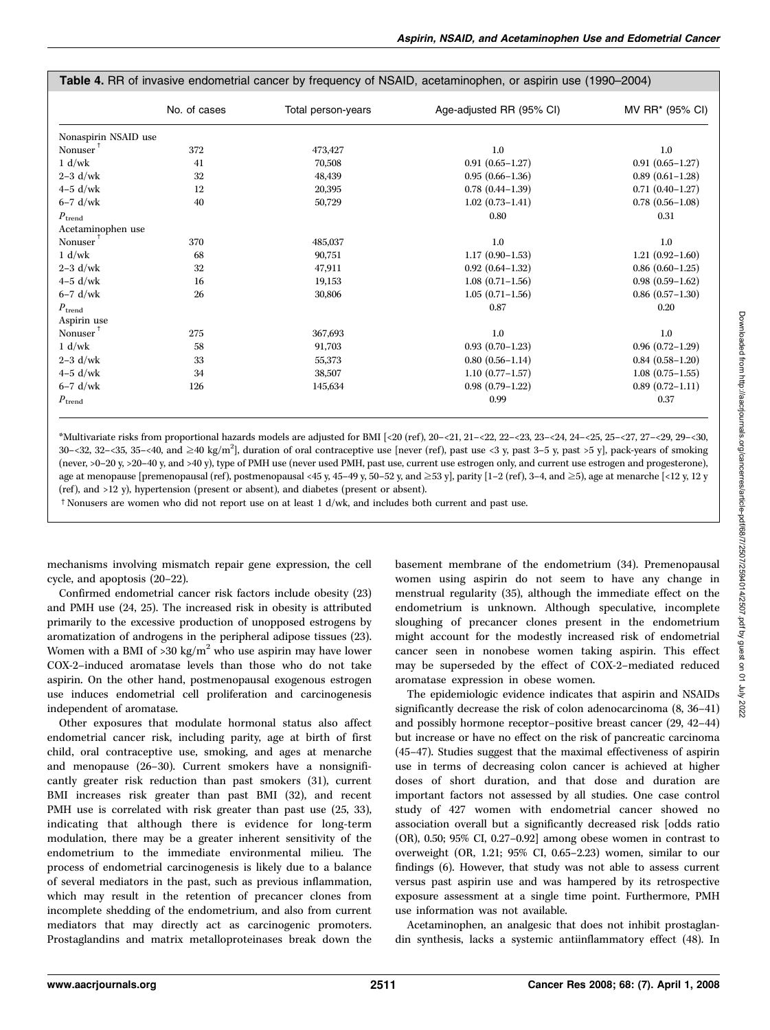|                                 | No. of cases | Total person-years | Age-adjusted RR (95% CI) | MV RR* (95% CI)        |
|---------------------------------|--------------|--------------------|--------------------------|------------------------|
| Nonaspirin NSAID use            |              |                    |                          |                        |
| Nonuser $^{\dagger}$            | 372          | 473,427            | 1.0                      | $1.0\,$                |
| 1 d/wk                          | 41           | 70,508             | $0.91(0.65 - 1.27)$      | $0.91(0.65 - 1.27)$    |
| $2-3$ d/wk                      | 32           | 48,439             | $0.95(0.66 - 1.36)$      | $0.89(0.61-1.28)$      |
| $4-5$ d/wk                      | 12           | 20,395             | $0.78$ $(0.44 - 1.39)$   | $0.71(0.40-1.27)$      |
| $6-7$ d/wk                      | 40           | 50,729             | $1.02(0.73 - 1.41)$      | $0.78$ $(0.56 - 1.08)$ |
| $\boldsymbol{P}_{\text{trend}}$ |              |                    | 0.80                     | 0.31                   |
| Acetaminophen use               |              |                    |                          |                        |
| Nonuser <sup>†</sup>            | 370          | 485,037            | 1.0                      | $1.0\,$                |
| 1 d/wk                          | 68           | 90.751             | $1.17(0.90-1.53)$        | $1.21(0.92 - 1.60)$    |
| $2-3$ d/wk                      | 32           | 47,911             | $0.92(0.64 - 1.32)$      | $0.86$ $(0.60-1.25)$   |
| $4-5$ d/wk                      | 16           | 19,153             | $1.08(0.71-1.56)$        | $0.98(0.59-1.62)$      |
| $6-7$ d/wk                      | 26           | 30,806             | $1.05(0.71-1.56)$        | $0.86$ $(0.57-1.30)$   |
| $\boldsymbol{P}_{\text{trend}}$ |              |                    | 0.87                     | 0.20                   |
| Aspirin use                     |              |                    |                          |                        |
| Nonuser <sup>†</sup>            | 275          | 367,693            | 1.0                      | $1.0\,$                |
| 1 d/wk                          | 58           | 91,703             | $0.93(0.70-1.23)$        | $0.96(0.72 - 1.29)$    |
| $2-3$ d/wk                      | 33           | 55,373             | $0.80(0.56 - 1.14)$      | $0.84(0.58-1.20)$      |
| $4-5$ d/wk                      | 34           | 38,507             | $1.10(0.77 - 1.57)$      | $1.08(0.75-1.55)$      |
| $6-7$ d/wk                      | 126          | 145,634            | $0.98(0.79-1.22)$        | $0.89(0.72 - 1.11)$    |
| $\boldsymbol{P}_{\text{trend}}$ |              |                    | 0.99                     | 0.37                   |

#### Table 4. RR of invasive endometrial cancer by frequency of NSAID, acetaminophen, or aspirin use (1990–2004)

\*Multivariate risks from proportional hazards models are adjusted for BMI[<20 (ref), 20–<21, 21–<22, 22–<23, 23–<24, 24–<25, 25–<27, 27–<29, 29–<30,  $30$ – $32$ ,  $32$ – $35$ ,  $35$ – $40$ , and  $\geq 40$  kg/m<sup>2</sup>], duration of oral contraceptive use [never (ref), past use <3 y, past 3–5 y, past >5 y], pack-years of smoking (never, >0–20 y, >20–40 y, and >40 y), type of PMH use (never used PMH, past use, current use estrogen only, and current use estrogen and progesterone), age at menopause [premenopausal (ref), postmenopausal <45 y, 45–49 y, 50–52 y, and  $\geq$ 53 y], parity [1–2 (ref), 3–4, and  $\geq$ 5), age at menarche [<12 y, 12 y (ref ), and >12 y), hypertension (present or absent), and diabetes (present or absent).

t Nonusers are women who did not report use on at least 1 d/wk, and includes both current and past use.

mechanisms involving mismatch repair gene expression, the cell cycle, and apoptosis (20–22).

Confirmed endometrial cancer risk factors include obesity (23) and PMH use (24, 25). The increased risk in obesity is attributed primarily to the excessive production of unopposed estrogens by aromatization of androgens in the peripheral adipose tissues (23). Women with a BMI of  $>30 \text{ kg/m}^2$  who use aspirin may have lower COX-2–induced aromatase levels than those who do not take aspirin. On the other hand, postmenopausal exogenous estrogen use induces endometrial cell proliferation and carcinogenesis independent of aromatase.

Other exposures that modulate hormonal status also affect endometrial cancer risk, including parity, age at birth of first child, oral contraceptive use, smoking, and ages at menarche and menopause (26–30). Current smokers have a nonsignificantly greater risk reduction than past smokers (31), current BMI increases risk greater than past BMI (32), and recent PMH use is correlated with risk greater than past use  $(25, 33)$ , indicating that although there is evidence for long-term modulation, there may be a greater inherent sensitivity of the endometrium to the immediate environmental milieu. The process of endometrial carcinogenesis is likely due to a balance of several mediators in the past, such as previous inflammation, which may result in the retention of precancer clones from incomplete shedding of the endometrium, and also from current mediators that may directly act as carcinogenic promoters. Prostaglandins and matrix metalloproteinases break down the basement membrane of the endometrium (34). Premenopausal women using aspirin do not seem to have any change in menstrual regularity (35), although the immediate effect on the endometrium is unknown. Although speculative, incomplete sloughing of precancer clones present in the endometrium might account for the modestly increased risk of endometrial cancer seen in nonobese women taking aspirin. This effect may be superseded by the effect of COX-2–mediated reduced aromatase expression in obese women.

The epidemiologic evidence indicates that aspirin and NSAIDs significantly decrease the risk of colon adenocarcinoma (8, 36–41) and possibly hormone receptor–positive breast cancer (29, 42–44) but increase or have no effect on the risk of pancreatic carcinoma (45–47). Studies suggest that the maximal effectiveness of aspirin use in terms of decreasing colon cancer is achieved at higher doses of short duration, and that dose and duration are important factors not assessed by all studies. One case control study of 427 women with endometrial cancer showed no association overall but a significantly decreased risk [odds ratio (OR), 0.50; 95% CI, 0.27–0.92] among obese women in contrast to overweight (OR, 1.21; 95% CI, 0.65–2.23) women, similar to our findings (6). However, that study was not able to assess current versus past aspirin use and was hampered by its retrospective exposure assessment at a single time point. Furthermore, PMH use information was not available.

Acetaminophen, an analgesic that does not inhibit prostaglandin synthesis, lacks a systemic antiinflammatory effect (48). In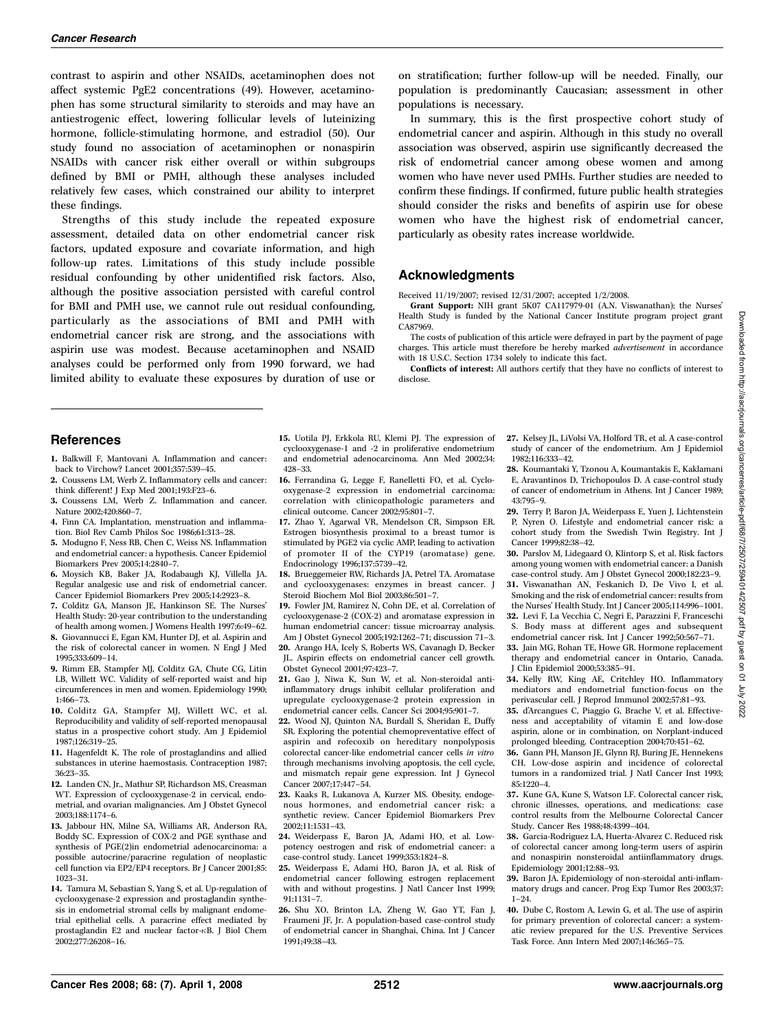contrast to aspirin and other NSAIDs, acetaminophen does not affect systemic PgE2 concentrations (49). However, acetaminophen has some structural similarity to steroids and may have an antiestrogenic effect, lowering follicular levels of luteinizing hormone, follicle-stimulating hormone, and estradiol (50). Our study found no association of acetaminophen or nonaspirin NSAIDs with cancer risk either overall or within subgroups defined by BMI or PMH, although these analyses included relatively few cases, which constrained our ability to interpret these findings.

Strengths of this study include the repeated exposure assessment, detailed data on other endometrial cancer risk factors, updated exposure and covariate information, and high follow-up rates. Limitations of this study include possible residual confounding by other unidentified risk factors. Also, although the positive association persisted with careful control for BMI and PMH use, we cannot rule out residual confounding, particularly as the associations of BMI and PMH with endometrial cancer risk are strong, and the associations with aspirin use was modest. Because acetaminophen and NSAID analyses could be performed only from 1990 forward, we had limited ability to evaluate these exposures by duration of use or

References

- 1. Balkwill F, Mantovani A. Inflammation and cancer: back to Virchow? Lancet 2001;357:539–45.
- 2. Coussens LM, Werb Z. Inflammatory cells and cancer: think different! J Exp Med 2001;193:F23–6.
- 3. Coussens LM, Werb Z. Inflammation and cancer. Nature 2002;420:860–7.
- 4. Finn CA. Implantation, menstruation and inflammation. Biol Rev Camb Philos Soc 1986;61:313–28.
- 5. Modugno F, Ness RB, Chen C, Weiss NS. Inflammation and endometrial cancer: a hypothesis. Cancer Epidemiol Biomarkers Prev 2005;14:2840–7.
- 6. Moysich KB, Baker JA, Rodabaugh KJ, Villella JA. Regular analgesic use and risk of endometrial cancer. Cancer Epidemiol Biomarkers Prev 2005;14:2923–8.
- 7. Colditz GA, Manson JE, Hankinson SE. The Nurses' Health Study: 20-year contribution to the understanding of health among women. J Womens Health 1997;6:49–62.
- 8. Giovannucci E, Egan KM, Hunter DJ, et al. Aspirin and the risk of colorectal cancer in women. N Engl J Med 1995;333:609–14.
- 9. Rimm EB, Stampfer MJ, Colditz GA, Chute CG, Litin LB, Willett WC. Validity of self-reported waist and hip circumferences in men and women. Epidemiology 1990; 1:466–73.
- 10. Colditz GA, Stampfer MJ, Willett WC, et al. Reproducibility and validity of self-reported menopausal status in a prospective cohort study. Am J Epidemiol 1987;126:319–25.
- 11. Hagenfeldt K. The role of prostaglandins and allied substances in uterine haemostasis. Contraception 1987: 36:23–35.
- 12. Landen CN, Jr., Mathur SP, Richardson MS, Creasman WT. Expression of cyclooxygenase-2 in cervical, endometrial, and ovarian malignancies. Am J Obstet Gynecol 2003;188:1174–6.
- 13. Jabbour HN, Milne SA, Williams AR, Anderson RA, Boddy SC. Expression of COX-2 and PGE synthase and synthesis of PGE(2)in endometrial adenocarcinoma: a possible autocrine/paracrine regulation of neoplastic cell function via EP2/EP4 receptors. Br J Cancer 2001;85: 1023–31.
- 14. Tamura M, Sebastian S, Yang S, et al. Up-regulation of cyclooxygenase-2 expression and prostaglandin synthesis in endometrial stromal cells by malignant endometrial epithelial cells. A paracrine effect mediated by prostaglandin E2 and nuclear factor- $\kappa$ B. J Biol Chem 2002;277:26208–16.

15. Uotila PJ, Erkkola RU, Klemi PJ. The expression of cyclooxygenase-1 and -2 in proliferative endometrium and endometrial adenocarcinoma. Ann Med 2002;34: 428–33.

- 16. Ferrandina G, Legge F, Ranelletti FO, et al. Cyclooxygenase-2 expression in endometrial carcinoma: correlation with clinicopathologic parameters and clinical outcome. Cancer 2002;95:801–7.
- 17. Zhao Y, Agarwal VR, Mendelson CR, Simpson ER. Estrogen biosynthesis proximal to a breast tumor is stimulated by PGE2 via cyclic AMP, leading to activation of promoter II of the CYP19 (aromatase) gene. Endocrinology 1996;137:5739–42.
- 18. Brueggemeier RW, Richards JA, Petrel TA. Aromatase and cyclooxygenases: enzymes in breast cancer. J Steroid Biochem Mol Biol 2003;86:501–7.
- 19. Fowler JM, Ramirez N, Cohn DE, et al. Correlation of cyclooxygenase-2 (COX-2) and aromatase expression in human endometrial cancer: tissue microarray analysis. Am J Obstet Gynecol 2005;192:1262–71; discussion 71–3.
- 20. Arango HA, Icely S, Roberts WS, Cavanagh D, Becker JL. Aspirin effects on endometrial cancer cell growth. Obstet Gynecol 2001;97:423–7.
- 21. Gao J, Niwa K, Sun W, et al. Non-steroidal antiinflammatory drugs inhibit cellular proliferation and upregulate cyclooxygenase-2 protein expression in endometrial cancer cells. Cancer Sci 2004;95:901–7.
- 22. Wood NJ, Quinton NA, Burdall S, Sheridan E, Duffy SR. Exploring the potential chemopreventative effect of aspirin and rofecoxib on hereditary nonpolyposis colorectal cancer-like endometrial cancer cells in vitro through mechanisms involving apoptosis, the cell cycle, and mismatch repair gene expression. Int J Gynecol Cancer 2007;17:447–54.
- 23. Kaaks R, Lukanova A, Kurzer MS. Obesity, endogenous hormones, and endometrial cancer risk: a synthetic review. Cancer Epidemiol Biomarkers Prev 2002;11:1531–43.
- 24. Weiderpass E, Baron JA, Adami HO, et al. Lowpotency oestrogen and risk of endometrial cancer: a case-control study. Lancet 1999;353:1824–8.
- 25. Weiderpass E, Adami HO, Baron JA, et al. Risk of endometrial cancer following estrogen replacement with and without progestins. J Natl Cancer Inst 1999; 91:1131–7.
- 26. Shu XO, Brinton LA, Zheng W, Gao YT, Fan J, Fraumeni JF, Jr. A population-based case-control study of endometrial cancer in Shanghai, China. Int J Cancer 1991;49:38–43.

on stratification; further follow-up will be needed. Finally, our population is predominantly Caucasian; assessment in other populations is necessary.

In summary, this is the first prospective cohort study of endometrial cancer and aspirin. Although in this study no overall association was observed, aspirin use significantly decreased the risk of endometrial cancer among obese women and among women who have never used PMHs. Further studies are needed to confirm these findings. If confirmed, future public health strategies should consider the risks and benefits of aspirin use for obese women who have the highest risk of endometrial cancer, particularly as obesity rates increase worldwide.

## Acknowledgments

Received 11/19/2007; revised 12/31/2007; accepted 1/2/2008.

Grant Support: NIH grant 5K07 CA117979-01 (A.N. Viswanathan); the Nurses' Health Study is funded by the National Cancer Institute program project grant CA87969.

The costs of publication of this article were defrayed in part by the payment of page charges. This article must therefore be hereby marked *advertisement* in accordance with 18 U.S.C. Section 1734 solely to indicate this fact.

Conflicts of interest: All authors certify that they have no conflicts of interest to disclose.

- 27. Kelsey JL, LiVolsi VA, Holford TR, et al. A case-control study of cancer of the endometrium. Am J Epidemiol 1982;116:333–42.
- 28. Koumantaki Y, Tzonou A, Koumantakis E, Kaklamani E, Aravantinos D, Trichopoulos D. A case-control study of cancer of endometrium in Athens. Int J Cancer 1989; 43:795–9.
- 29. Terry P, Baron JA, Weiderpass E, Yuen J, Lichtenstein P, Nyren O. Lifestyle and endometrial cancer risk: a cohort study from the Swedish Twin Registry. Int J Cancer 1999;82:38–42.
- 30. Parslov M, Lidegaard O, Klintorp S, et al. Risk factors among young women with endometrial cancer: a Danish case-control study. Am J Obstet Gynecol 2000;182:23–9.
- 31. Viswanathan AN, Feskanich D, De Vivo I, et al. Smoking and the risk of endometrial cancer: results from the Nurses' Health Study. Int J Cancer 2005;114:996–1001.
- 32. Levi F, La Vecchia C, Negri E, Parazzini F, Franceschi S. Body mass at different ages and subsequent endometrial cancer risk. Int J Cancer 1992;50:567–71.
- 33. Jain MG, Rohan TE, Howe GR. Hormone replacement therapy and endometrial cancer in Ontario, Canada. J Clin Epidemiol 2000;53:385–91.
- 34. Kelly RW, King AE, Critchley HO. Inflammatory mediators and endometrial function-focus on the perivascular cell. J Reprod Immunol 2002;57:81–93.
- 35. d'Arcangues C, Piaggio G, Brache V, et al. Effectiveness and acceptability of vitamin E and low-dose aspirin, alone or in combination, on Norplant-induced prolonged bleeding. Contraception 2004;70:451–62.
- 36. Gann PH, Manson JE, Glynn RJ, Buring JE, Hennekens CH. Low-dose aspirin and incidence of colorectal tumors in a randomized trial. J Natl Cancer Inst 1993: 85:1220–4.
- 37. Kune GA, Kune S, Watson LF. Colorectal cancer risk, chronic illnesses, operations, and medications: case control results from the Melbourne Colorectal Cancer Study. Cancer Res 1988;48:4399–404.
- 38. Garcia-Rodriguez LA, Huerta-Alvarez C. Reduced risk of colorectal cancer among long-term users of aspirin and nonaspirin nonsteroidal antiinflammatory drugs. Epidemiology 2001;12:88–93.
- 39. Baron JA. Epidemiology of non-steroidal anti-inflammatory drugs and cancer. Prog Exp Tumor Res 2003;37: 1–24.
- 40. Dube C, Rostom A, Lewin G, et al. The use of aspirin for primary prevention of colorectal cancer: a systematic review prepared for the U.S. Preventive Services Task Force. Ann Intern Med 2007;146:365–75.